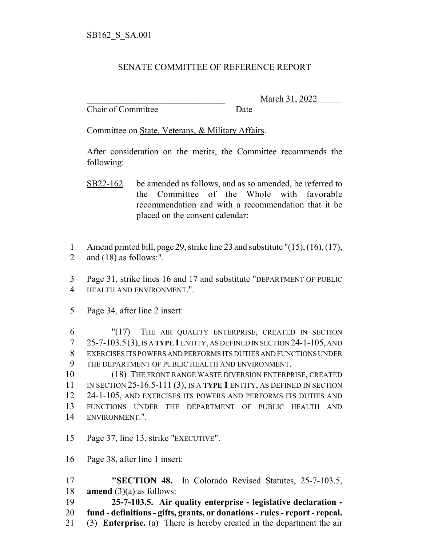## SENATE COMMITTEE OF REFERENCE REPORT

Chair of Committee Date

\_\_\_\_\_\_\_\_\_\_\_\_\_\_\_\_\_\_\_\_\_\_\_\_\_\_\_\_\_\_\_ March 31, 2022

Committee on State, Veterans, & Military Affairs.

After consideration on the merits, the Committee recommends the following:

- SB22-162 be amended as follows, and as so amended, be referred to the Committee of the Whole with favorable recommendation and with a recommendation that it be placed on the consent calendar:
- Amend printed bill, page 29, strike line 23 and substitute "(15), (16), (17),
- and (18) as follows:".

 Page 31, strike lines 16 and 17 and substitute "DEPARTMENT OF PUBLIC HEALTH AND ENVIRONMENT.".

Page 34, after line 2 insert:

 "(17) THE AIR QUALITY ENTERPRISE, CREATED IN SECTION 25-7-103.5 (3), IS A **TYPE 1** ENTITY, AS DEFINED IN SECTION 24-1-105, AND EXERCISES ITS POWERS AND PERFORMS ITS DUTIES AND FUNCTIONS UNDER THE DEPARTMENT OF PUBLIC HEALTH AND ENVIRONMENT.

 (18) THE FRONT RANGE WASTE DIVERSION ENTERPRISE, CREATED IN SECTION 25-16.5-111 (3), IS A **TYPE 1** ENTITY, AS DEFINED IN SECTION 24-1-105, AND EXERCISES ITS POWERS AND PERFORMS ITS DUTIES AND FUNCTIONS UNDER THE DEPARTMENT OF PUBLIC HEALTH AND ENVIRONMENT.".

- Page 37, line 13, strike "EXECUTIVE".
- Page 38, after line 1 insert:

 **"SECTION 48.** In Colorado Revised Statutes, 25-7-103.5, **amend** (3)(a) as follows:

**25-7-103.5. Air quality enterprise - legislative declaration -**

- **fund definitions gifts, grants, or donations rules report repeal.**
- (3) **Enterprise.** (a) There is hereby created in the department the air